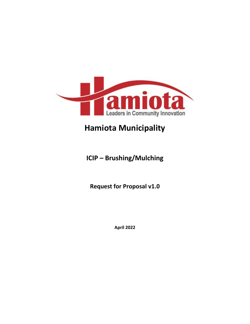

# **Hamiota Municipality**

## **ICIP – Brushing/Mulching**

**Request for Proposal v1.0**

**April 2022**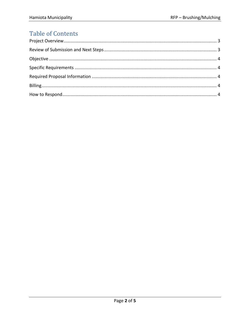## **Table of Contents**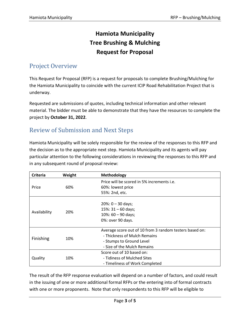## **Hamiota Municipality Tree Brushing & Mulching Request for Proposal**

#### <span id="page-2-0"></span>Project Overview

This Request for Proposal (RFP) is a request for proposals to complete Brushing/Mulching for the Hamiota Municipality to coincide with the current ICIP Road Rehabilitation Project that is underway.

Requested are submissions of quotes, including technical information and other relevant material. The bidder must be able to demonstrate that they have the resources to complete the project by **October 31, 2022**.

#### <span id="page-2-1"></span>Review of Submission and Next Steps

Hamiota Municipality will be solely responsible for the review of the responses to this RFP and the decision as to the appropriate next step. Hamiota Municipality and its agents will pay particular attention to the following considerations in reviewing the responses to this RFP and in any subsequent round of proposal review:

| <b>Criteria</b> | Weight | Methodology                                             |
|-----------------|--------|---------------------------------------------------------|
| Price           | 60%    | Price will be scored in 5% increments i.e.              |
|                 |        | 60%: lowest price                                       |
|                 |        | 55%: 2nd, etc.                                          |
| Availability    | 20%    | $20\%: 0 - 30$ days;                                    |
|                 |        | $15\%$ : 31 - 60 days;                                  |
|                 |        | $10\%$ : 60 - 90 days;                                  |
|                 |        | 0%: over 90 days.                                       |
|                 |        |                                                         |
| Finishing       | 10%    | Average score out of 10 from 3 random testers based on: |
|                 |        | - Thickness of Mulch Remains                            |
|                 |        | - Stumps to Ground Level                                |
|                 |        | - Size of the Mulch Remains                             |
| Quality         | 10%    | Score out of 10 based on:                               |
|                 |        | - Tidiness of Mulched Sites                             |
|                 |        | - Timeliness of Work Completed                          |

The result of the RFP response evaluation will depend on a number of factors, and could result in the issuing of one or more additional formal RFPs or the entering into of formal contracts with one or more proponents. Note that only respondents to this RFP will be eligible to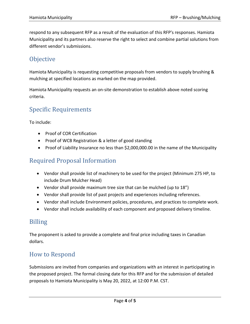respond to any subsequent RFP as a result of the evaluation of this RFP's responses. Hamiota Municipality and its partners also reserve the right to select and combine partial solutions from different vendor's submissions.

### <span id="page-3-0"></span>**Objective**

Hamiota Municipality is requesting competitive proposals from vendors to supply brushing & mulching at specified locations as marked on the map provided.

Hamiota Municipality requests an on-site demonstration to establish above noted scoring criteria.

#### <span id="page-3-1"></span>Specific Requirements

To include:

- Proof of COR Certification
- Proof of WCB Registration & a letter of good standing
- Proof of Liability Insurance no less than \$2,000,000.00 in the name of the Municipality

### <span id="page-3-2"></span>Required Proposal Information

- Vendor shall provide list of machinery to be used for the project (Minimum 275 HP, to include Drum Mulcher Head)
- Vendor shall provide maximum tree size that can be mulched (up to 18")
- Vendor shall provide list of past projects and experiences including references.
- Vendor shall include Environment policies, procedures, and practices to complete work.
- Vendor shall include availability of each component and proposed delivery timeline.

#### <span id="page-3-3"></span>Billing

The proponent is asked to provide a complete and final price including taxes in Canadian dollars.

#### <span id="page-3-4"></span>How to Respond

Submissions are invited from companies and organizations with an interest in participating in the proposed project. The formal closing date for this RFP and for the submission of detailed proposals to Hamiota Municipality is May 20, 2022, at 12:00 P.M. CST.